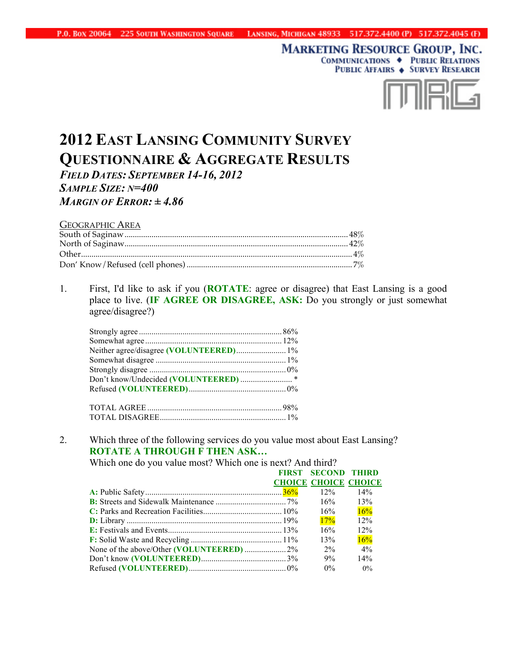**MARKETING RESOURCE GROUP, INC.** COMMUNICATIONS + PUBLIC RELATIONS **PUBLIC AFFAIRS + SURVEY RESEARCH** 

# **2012 EAST LANSING COMMUNITY SURVEY QUESTIONNAIRE & AGGREGATE RESULTS** *FIELD DATES: SEPTEMBER 14-16, 2012*

*SAMPLE SIZE: N=400 MARGIN OF ERROR: ± 4.86*

GEOGRAPHIC AREA

1. First, I'd like to ask if you (**ROTATE**: agree or disagree) that East Lansing is a good place to live. (**IF AGREE OR DISAGREE, ASK:** Do you strongly or just somewhat agree/disagree?)

| Neither agree/disagree (VOLUNTEERED) 1% |  |
|-----------------------------------------|--|
|                                         |  |
|                                         |  |
|                                         |  |
|                                         |  |
|                                         |  |
|                                         |  |

2. Which three of the following services do you value most about East Lansing? **ROTATE A THROUGH F THEN ASK…**

Which one do you value most? Which one is next? And third? **FIRST SECOND THIRD**

|  | <b>CHOICE CHOICE CHOICE</b> |       |
|--|-----------------------------|-------|
|  | $12\%$                      | 14%   |
|  | 16%                         | 13%   |
|  | 16%                         | 16%   |
|  | 17%                         | 12%   |
|  | 16%                         | 12%   |
|  | 13%                         | 16%   |
|  | $2\%$                       | $4\%$ |
|  | 9%                          | 14%   |
|  | $0\%$                       | $0\%$ |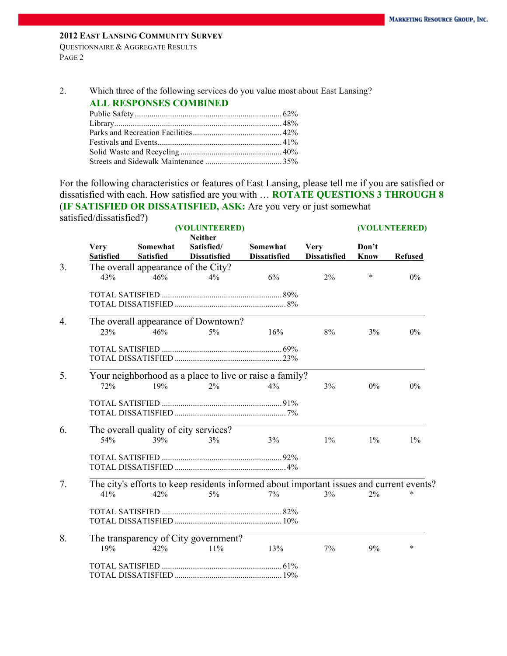QUESTIONNAIRE & AGGREGATE RESULTS PAGE 2

2. Which three of the following services do you value most about East Lansing?

| <b>ALL RESPONSES COMBINED</b> |  |
|-------------------------------|--|
|-------------------------------|--|

For the following characteristics or features of East Lansing, please tell me if you are satisfied or dissatisfied with each. How satisfied are you with … **ROTATE QUESTIONS 3 THROUGH 8** (**IF SATISFIED OR DISSATISFIED, ASK:** Are you very or just somewhat satisfied/dissatisfied?)

|                  |                                       | (VOLUNTEERED)                        |                                                                                          |                     |             | (VOLUNTEERED)  |
|------------------|---------------------------------------|--------------------------------------|------------------------------------------------------------------------------------------|---------------------|-------------|----------------|
| <b>Very</b>      | Somewhat                              | <b>Neither</b><br>Satisfied/         | Somewhat                                                                                 | <b>Very</b>         | Don't       |                |
| <b>Satisfied</b> | <b>Satisfied</b>                      | <b>Dissatisfied</b>                  | <b>Dissatisfied</b>                                                                      | <b>Dissatisfied</b> | <b>Know</b> | <b>Refused</b> |
|                  | The overall appearance of the City?   |                                      |                                                                                          |                     |             |                |
| 43%              | 46%                                   | $4\%$                                | 6%                                                                                       | $2\%$               | $\ast$      | $0\%$          |
|                  |                                       |                                      |                                                                                          |                     |             |                |
|                  |                                       |                                      |                                                                                          |                     |             |                |
|                  |                                       | The overall appearance of Downtown?  |                                                                                          |                     |             |                |
| 23%              | 46%                                   | $5\%$                                | 16%                                                                                      | 8%                  | 3%          | $0\%$          |
|                  |                                       |                                      |                                                                                          |                     |             |                |
|                  |                                       |                                      |                                                                                          |                     |             |                |
|                  |                                       |                                      | Your neighborhood as a place to live or raise a family?                                  |                     |             |                |
| 72%              | 19%                                   | $2\%$                                | 4%                                                                                       | 3%                  | $0\%$       | $0\%$          |
|                  |                                       |                                      |                                                                                          |                     |             |                |
|                  |                                       |                                      |                                                                                          |                     |             |                |
|                  | The overall quality of city services? |                                      |                                                                                          |                     |             |                |
| 54%              | 39%                                   | 3%                                   | 3%                                                                                       | $1\%$               | $1\%$       | $1\%$          |
|                  |                                       |                                      |                                                                                          |                     |             |                |
|                  |                                       |                                      |                                                                                          |                     |             |                |
|                  |                                       |                                      | The city's efforts to keep residents informed about important issues and current events? |                     |             |                |
| 41%              | 42%                                   | 5%                                   | 7%                                                                                       | 3%                  | $2\%$       |                |
|                  |                                       |                                      |                                                                                          |                     |             |                |
|                  |                                       |                                      |                                                                                          |                     |             |                |
|                  |                                       | The transparency of City government? |                                                                                          |                     |             |                |
| 19%              | 42%                                   | $11\%$                               | 13%                                                                                      | 7%                  | 9%          | $\ast$         |
|                  |                                       |                                      |                                                                                          |                     |             |                |
|                  |                                       |                                      |                                                                                          |                     |             |                |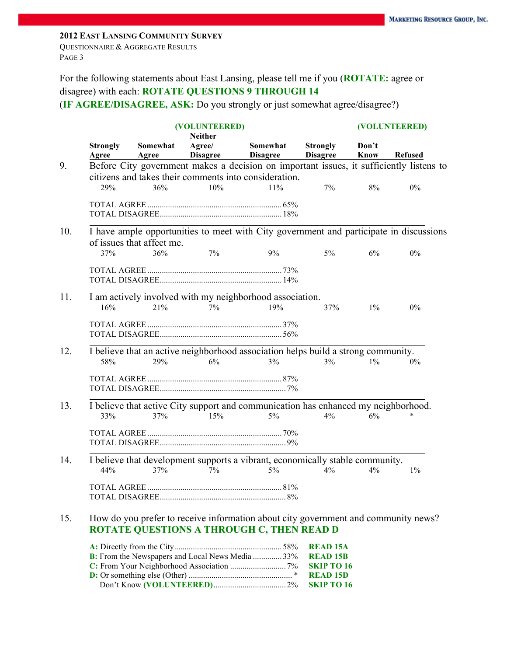QUESTIONNAIRE & AGGREGATE RESULTS PAGE 3

For the following statements about East Lansing, please tell me if you (**ROTATE:** agree or disagree) with each: **ROTATE QUESTIONS 9 THROUGH 14**

(**IF AGREE/DISAGREE, ASK:** Do you strongly or just somewhat agree/disagree?)

|     |                                 |                           | (VOLUNTEERED)            |                                                                                                                                        |                                                         |       | (VOLUNTEERED)       |
|-----|---------------------------------|---------------------------|--------------------------|----------------------------------------------------------------------------------------------------------------------------------------|---------------------------------------------------------|-------|---------------------|
|     | <b>Strongly</b><br><b>Agree</b> | Somewhat                  | <b>Neither</b><br>Agree/ | Somewhat<br>Agree Disagree Disagree                                                                                                    | <b>Strongly</b><br><b>Disagree</b>                      | Don't | <b>Know</b> Refused |
| 9.  |                                 |                           |                          | Before City government makes a decision on important issues, it sufficiently listens to                                                |                                                         |       |                     |
|     | 29%                             | 36%                       | 10%                      | citizens and takes their comments into consideration.<br>$11\%$                                                                        | 7%                                                      | 8%    | $0\%$               |
|     |                                 |                           |                          |                                                                                                                                        |                                                         |       |                     |
| 10. |                                 | of issues that affect me. |                          | I have ample opportunities to meet with City government and participate in discussions                                                 |                                                         |       |                     |
|     | 37%                             | 36%                       | 7%                       | 9%                                                                                                                                     | $5\%$                                                   | 6%    | $0\%$               |
|     |                                 |                           |                          |                                                                                                                                        |                                                         |       |                     |
| 11. | 16%                             | 21%                       | $7\%$                    | I am actively involved with my neighborhood association.<br>19%                                                                        | 37%                                                     | $1\%$ | $0\%$               |
|     |                                 |                           |                          |                                                                                                                                        |                                                         |       |                     |
| 12. | 58%                             | 29%                       | 6%                       | I believe that an active neighborhood association helps build a strong community.<br>3%                                                | 3%                                                      | $1\%$ | $0\%$               |
|     |                                 |                           |                          |                                                                                                                                        |                                                         |       |                     |
| 13. | 33%                             | 37%                       | 15%                      | I believe that active City support and communication has enhanced my neighborhood.<br>$5\%$                                            | $4\%$                                                   | 6%    |                     |
|     |                                 |                           |                          |                                                                                                                                        |                                                         |       |                     |
| 14. | 44%                             | 37%                       | 7%                       | I believe that development supports a vibrant, economically stable community.<br>$5\%$                                                 | $4\%$                                                   | 4%    | $1\%$               |
|     |                                 |                           |                          |                                                                                                                                        |                                                         |       |                     |
| 15. |                                 |                           |                          | How do you prefer to receive information about city government and community news?<br><b>ROTATE QUESTIONS A THROUGH C, THEN READ D</b> |                                                         |       |                     |
|     |                                 |                           |                          | B: From the Newspapers and Local News Media  33%                                                                                       | <b>READ 15A</b><br><b>READ 15B</b><br><b>SKIP TO 16</b> |       |                     |

**D:** Or something else (Other) .................................................. \* **READ 15D** Don't Know **(VOLUNTEERED)**...................................2% **SKIP TO 16**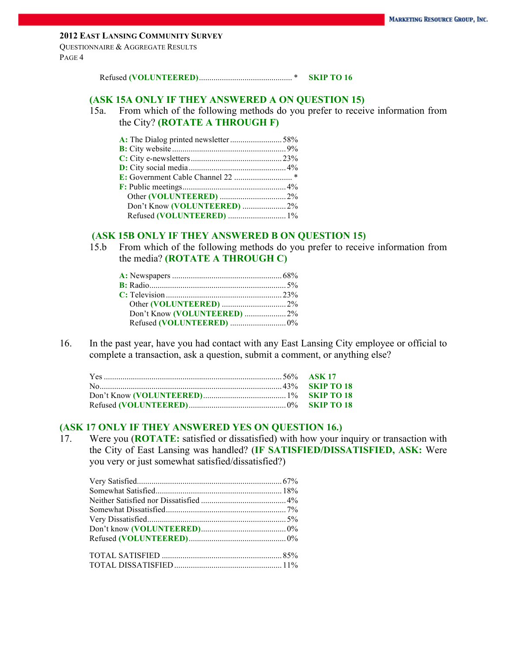QUESTIONNAIRE & AGGREGATE RESULTS PAGE 4

Refused **(VOLUNTEERED)**............................................. \* **SKIP TO 16**

### **(ASK 15A ONLY IF THEY ANSWERED A ON QUESTION 15)**

15a. From which of the following methods do you prefer to receive information from the City? **(ROTATE A THROUGH F)**

| Don't Know (VOLUNTEERED) 2% |  |
|-----------------------------|--|
| Refused (VOLUNTEERED)  1%   |  |

# **(ASK 15B ONLY IF THEY ANSWERED B ON QUESTION 15)**

15.b From which of the following methods do you prefer to receive information from the media? **(ROTATE A THROUGH C)**

| Don't Know (VOLUNTEERED) 2% |  |
|-----------------------------|--|
|                             |  |

16. In the past year, have you had contact with any East Lansing City employee or official to complete a transaction, ask a question, submit a comment, or anything else?

### **(ASK 17 ONLY IF THEY ANSWERED YES ON QUESTION 16.)**

17. Were you (**ROTATE:** satisfied or dissatisfied) with how your inquiry or transaction with the City of East Lansing was handled? (**IF SATISFIED/DISSATISFIED, ASK:** Were you very or just somewhat satisfied/dissatisfied?)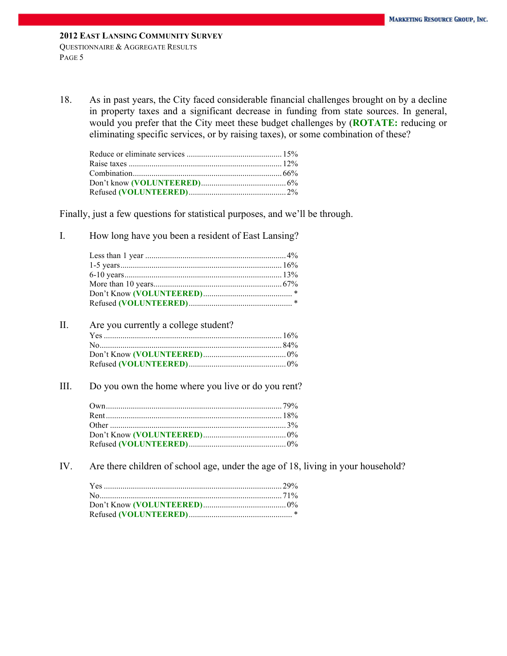18. As in past years, the City faced considerable financial challenges brought on by a decline in property taxes and a significant decrease in funding from state sources. In general, would you prefer that the City meet these budget challenges by (**ROTATE:** reducing or eliminating specific services, or by raising taxes), or some combination of these?

Finally, just a few questions for statistical purposes, and we'll be through.

I. How long have you been a resident of East Lansing?

### II. Are you currently a college student?

| Yes $\ldots$ 16% |  |
|------------------|--|
|                  |  |
|                  |  |
|                  |  |

III. Do you own the home where you live or do you rent?

IV. Are there children of school age, under the age of 18, living in your household?